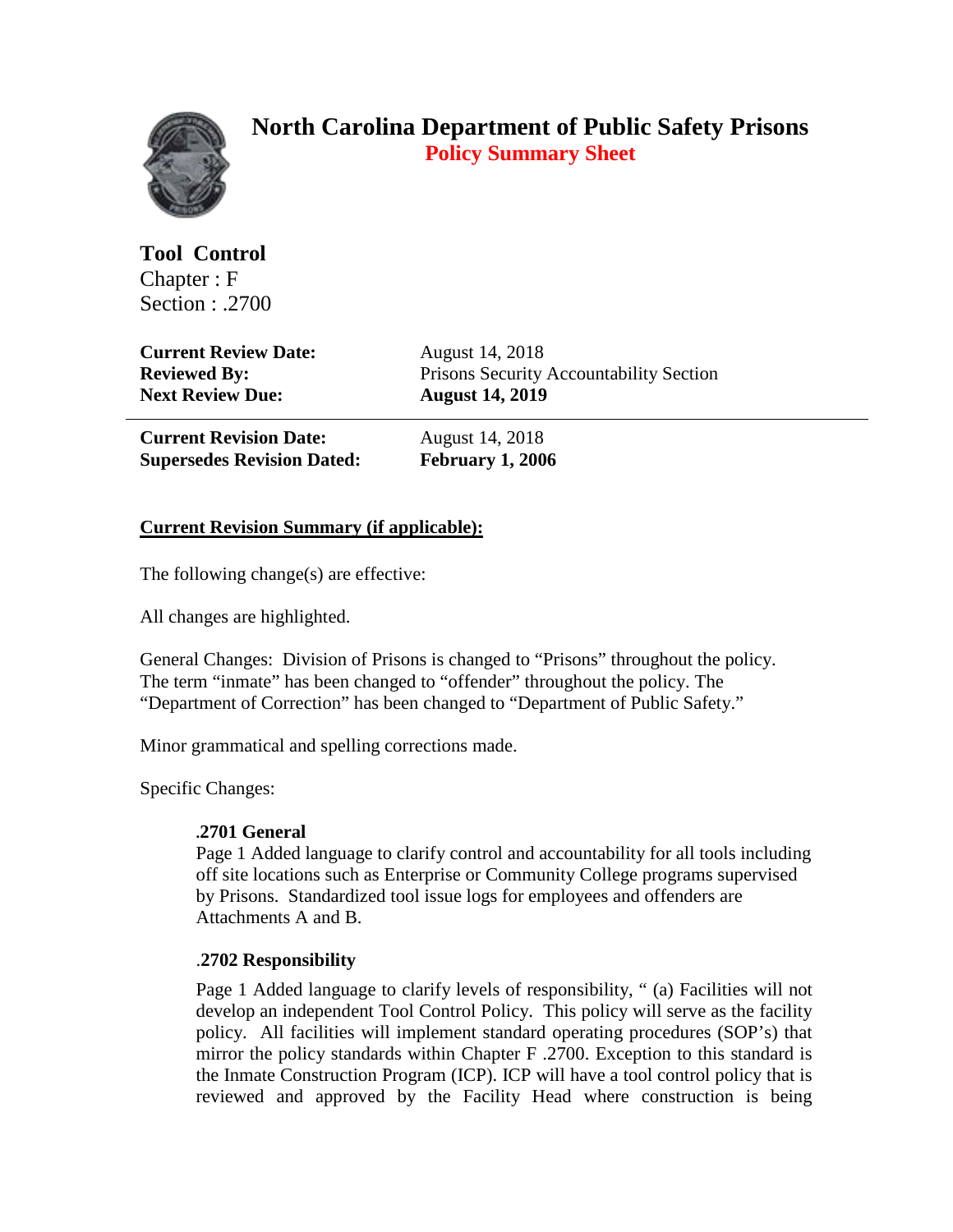

# **North Carolina Department of Public Safety Prisons Policy Summary Sheet**

**Tool Control** Chapter : F Section : .2700

**Current Review Date:** August 14, 2018 **Next Review Due: August 14, 2019**

**Reviewed By:** Prisons Security Accountability Section

**Current Revision Date:** August 14, 2018 **Supersedes Revision Dated: February 1, 2006**

## **Current Revision Summary (if applicable):**

The following change(s) are effective:

All changes are highlighted.

General Changes: Division of Prisons is changed to "Prisons" throughout the policy. The term "inmate" has been changed to "offender" throughout the policy. The "Department of Correction" has been changed to "Department of Public Safety."

Minor grammatical and spelling corrections made.

Specific Changes:

## **.2701 General**

Page 1 Added language to clarify control and accountability for all tools including off site locations such as Enterprise or Community College programs supervised by Prisons. Standardized tool issue logs for employees and offenders are Attachments A and B.

## .**2702 Responsibility**

Page 1 Added language to clarify levels of responsibility, " (a) Facilities will not develop an independent Tool Control Policy. This policy will serve as the facility policy. All facilities will implement standard operating procedures (SOP's) that mirror the policy standards within Chapter F .2700. Exception to this standard is the Inmate Construction Program (ICP). ICP will have a tool control policy that is reviewed and approved by the Facility Head where construction is being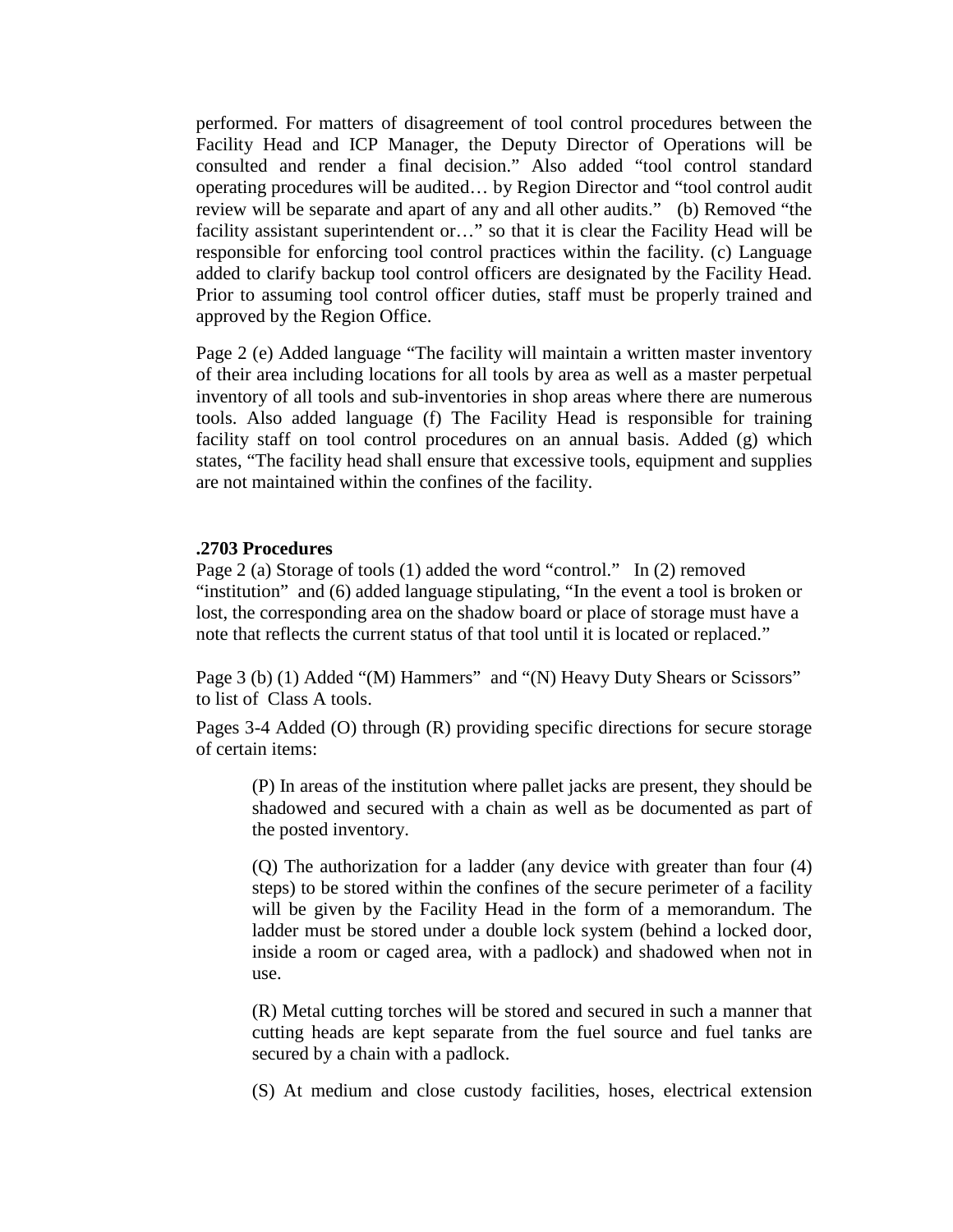performed. For matters of disagreement of tool control procedures between the Facility Head and ICP Manager, the Deputy Director of Operations will be consulted and render a final decision." Also added "tool control standard operating procedures will be audited… by Region Director and "tool control audit review will be separate and apart of any and all other audits." (b) Removed "the facility assistant superintendent or…" so that it is clear the Facility Head will be responsible for enforcing tool control practices within the facility. (c) Language added to clarify backup tool control officers are designated by the Facility Head. Prior to assuming tool control officer duties, staff must be properly trained and approved by the Region Office.

Page 2 (e) Added language "The facility will maintain a written master inventory of their area including locations for all tools by area as well as a master perpetual inventory of all tools and sub-inventories in shop areas where there are numerous tools. Also added language (f) The Facility Head is responsible for training facility staff on tool control procedures on an annual basis. Added (g) which states, "The facility head shall ensure that excessive tools, equipment and supplies are not maintained within the confines of the facility.

#### **.2703 Procedures**

Page 2 (a) Storage of tools (1) added the word "control." In (2) removed "institution" and (6) added language stipulating, "In the event a tool is broken or lost, the corresponding area on the shadow board or place of storage must have a note that reflects the current status of that tool until it is located or replaced."

Page 3 (b) (1) Added "(M) Hammers" and "(N) Heavy Duty Shears or Scissors" to list of Class A tools.

Pages 3-4 Added (O) through (R) providing specific directions for secure storage of certain items:

(P) In areas of the institution where pallet jacks are present, they should be shadowed and secured with a chain as well as be documented as part of the posted inventory.

(Q) The authorization for a ladder (any device with greater than four (4) steps) to be stored within the confines of the secure perimeter of a facility will be given by the Facility Head in the form of a memorandum. The ladder must be stored under a double lock system (behind a locked door, inside a room or caged area, with a padlock) and shadowed when not in use.

(R) Metal cutting torches will be stored and secured in such a manner that cutting heads are kept separate from the fuel source and fuel tanks are secured by a chain with a padlock.

(S) At medium and close custody facilities, hoses, electrical extension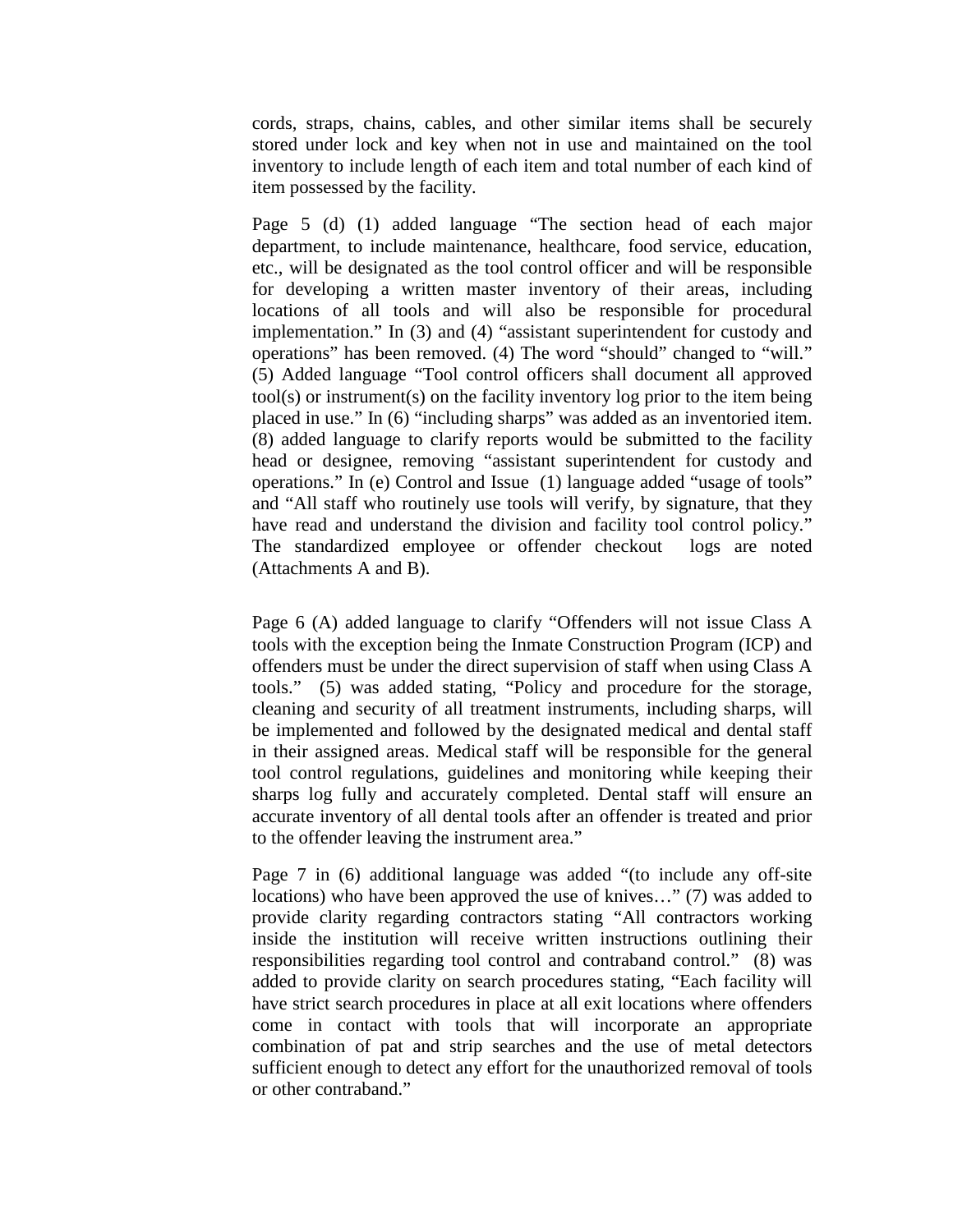cords, straps, chains, cables, and other similar items shall be securely stored under lock and key when not in use and maintained on the tool inventory to include length of each item and total number of each kind of item possessed by the facility.

Page 5 (d) (1) added language "The section head of each major department, to include maintenance, healthcare, food service, education, etc., will be designated as the tool control officer and will be responsible for developing a written master inventory of their areas, including locations of all tools and will also be responsible for procedural implementation." In (3) and (4) "assistant superintendent for custody and operations" has been removed. (4) The word "should" changed to "will." (5) Added language "Tool control officers shall document all approved tool(s) or instrument(s) on the facility inventory log prior to the item being placed in use." In (6) "including sharps" was added as an inventoried item. (8) added language to clarify reports would be submitted to the facility head or designee, removing "assistant superintendent for custody and operations." In (e) Control and Issue (1) language added "usage of tools" and "All staff who routinely use tools will verify, by signature, that they have read and understand the division and facility tool control policy." The standardized employee or offender checkout logs are noted (Attachments A and B).

Page 6 (A) added language to clarify "Offenders will not issue Class A tools with the exception being the Inmate Construction Program (ICP) and offenders must be under the direct supervision of staff when using Class A tools." (5) was added stating, "Policy and procedure for the storage, cleaning and security of all treatment instruments, including sharps, will be implemented and followed by the designated medical and dental staff in their assigned areas. Medical staff will be responsible for the general tool control regulations, guidelines and monitoring while keeping their sharps log fully and accurately completed. Dental staff will ensure an accurate inventory of all dental tools after an offender is treated and prior to the offender leaving the instrument area."

Page 7 in (6) additional language was added "(to include any off-site locations) who have been approved the use of knives…" (7) was added to provide clarity regarding contractors stating "All contractors working inside the institution will receive written instructions outlining their responsibilities regarding tool control and contraband control." (8) was added to provide clarity on search procedures stating, "Each facility will have strict search procedures in place at all exit locations where offenders come in contact with tools that will incorporate an appropriate combination of pat and strip searches and the use of metal detectors sufficient enough to detect any effort for the unauthorized removal of tools or other contraband."